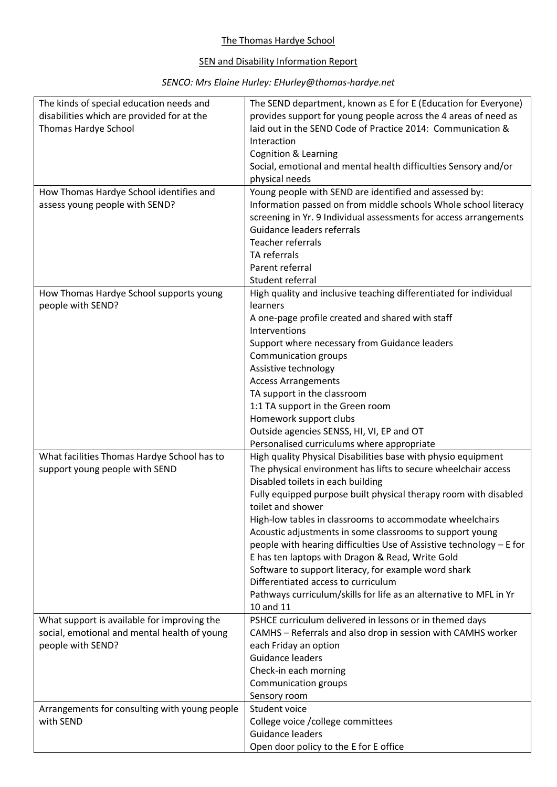## The Thomas Hardye School

## SEN and Disability Information Report

## *SENCO: Mrs Elaine Hurley: EHurley@thomas-hardye.net*

| The kinds of special education needs and      | The SEND department, known as E for E (Education for Everyone)                              |
|-----------------------------------------------|---------------------------------------------------------------------------------------------|
| disabilities which are provided for at the    | provides support for young people across the 4 areas of need as                             |
| Thomas Hardye School                          | laid out in the SEND Code of Practice 2014: Communication &                                 |
|                                               | Interaction                                                                                 |
|                                               | <b>Cognition &amp; Learning</b>                                                             |
|                                               | Social, emotional and mental health difficulties Sensory and/or                             |
|                                               | physical needs                                                                              |
| How Thomas Hardye School identifies and       | Young people with SEND are identified and assessed by:                                      |
| assess young people with SEND?                | Information passed on from middle schools Whole school literacy                             |
|                                               | screening in Yr. 9 Individual assessments for access arrangements                           |
|                                               | Guidance leaders referrals                                                                  |
|                                               | Teacher referrals                                                                           |
|                                               | TA referrals                                                                                |
|                                               | Parent referral                                                                             |
|                                               | Student referral                                                                            |
|                                               |                                                                                             |
| How Thomas Hardye School supports young       | High quality and inclusive teaching differentiated for individual                           |
| people with SEND?                             | learners                                                                                    |
|                                               | A one-page profile created and shared with staff                                            |
|                                               | Interventions                                                                               |
|                                               | Support where necessary from Guidance leaders                                               |
|                                               | <b>Communication groups</b>                                                                 |
|                                               | Assistive technology                                                                        |
|                                               | <b>Access Arrangements</b>                                                                  |
|                                               | TA support in the classroom                                                                 |
|                                               | 1:1 TA support in the Green room                                                            |
|                                               | Homework support clubs                                                                      |
|                                               | Outside agencies SENSS, HI, VI, EP and OT                                                   |
|                                               | Personalised curriculums where appropriate                                                  |
| What facilities Thomas Hardye School has to   | High quality Physical Disabilities base with physio equipment                               |
| support young people with SEND                | The physical environment has lifts to secure wheelchair access                              |
|                                               | Disabled toilets in each building                                                           |
|                                               | Fully equipped purpose built physical therapy room with disabled                            |
|                                               | toilet and shower                                                                           |
|                                               | High-low tables in classrooms to accommodate wheelchairs                                    |
|                                               | Acoustic adjustments in some classrooms to support young                                    |
|                                               | people with hearing difficulties Use of Assistive technology - E for                        |
|                                               | E has ten laptops with Dragon & Read, Write Gold                                            |
|                                               |                                                                                             |
|                                               | Software to support literacy, for example word shark<br>Differentiated access to curriculum |
|                                               |                                                                                             |
|                                               | Pathways curriculum/skills for life as an alternative to MFL in Yr                          |
|                                               | 10 and 11                                                                                   |
| What support is available for improving the   | PSHCE curriculum delivered in lessons or in themed days                                     |
| social, emotional and mental health of young  | CAMHS - Referrals and also drop in session with CAMHS worker                                |
| people with SEND?                             | each Friday an option                                                                       |
|                                               | Guidance leaders                                                                            |
|                                               | Check-in each morning                                                                       |
|                                               | Communication groups                                                                        |
|                                               | Sensory room                                                                                |
| Arrangements for consulting with young people | Student voice                                                                               |
| with SEND                                     | College voice / college committees                                                          |
|                                               | Guidance leaders                                                                            |
|                                               | Open door policy to the E for E office                                                      |